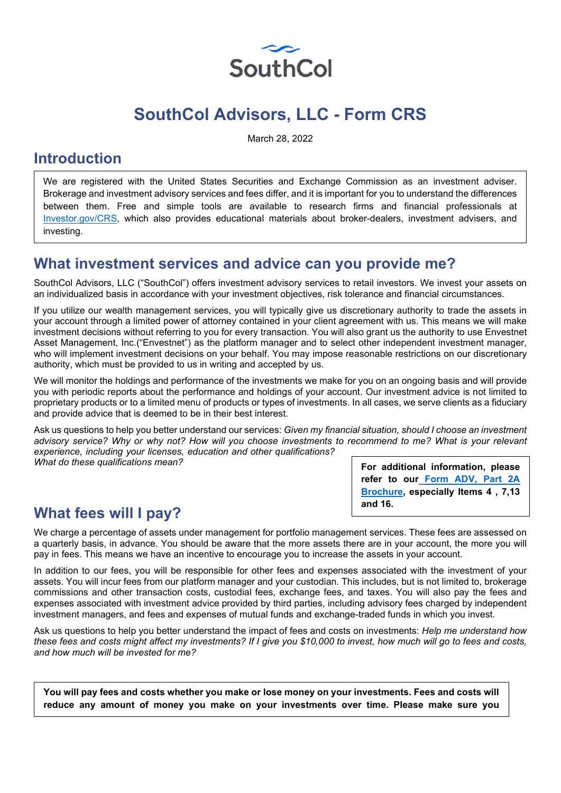

# **SouthCol Advisors, LLC - Form CRS**

March 28, 2022

# **Introduction**

We are registered with the United States Securities and Exchange Commission as an investment adviser. Brokerage and investment advisory services and fees differ, and it is important for you to understand the differences between them. Free and simple tools are available to research firms and financial professionals at [Investor.gov/CRS,](https://www.investor.gov/CRS) which also provides educational materials about broker-dealers, investment advisers, and investing.

#### **What investment services and advice can you provide me?**

SouthCol Advisors, LLC ("SouthCol") offers investment advisory services to retail investors. We invest your assets on an individualized basis in accordance with your investment objectives, risk tolerance and financial circumstances.

If you utilize our wealth management services, you will typically give us discretionary authority to trade the assets in your account through a limited power of attorney contained in your client agreement with us. This means we will make investment decisions without referring to you for every transaction. You will also grant us the authority to use Envestnet Asset Management, Inc.("Envestnet") as the platform manager and to select other independent investment manager, who will implement investment decisions on your behalf. You may impose reasonable restrictions on our discretionary authority, which must be provided to us in writing and accepted by us.

We will monitor the holdings and performance of the investments we make for you on an ongoing basis and will provide you with periodic reports about the performance and holdings of your account. Our investment advice is not limited to proprietary products or to a limited menu of products or types of investments. In all cases, we serve clients as a fiduciary and provide advice that is deemed to be in their best interest.

Ask us questions to help you better understand our services: *Given my financial situation, should I choose an investment advisory service? Why or why not? How will you choose investments to recommend to me? What is your relevant experience, including your licenses, education and other qualifications? What do these qualifications mean?*

**For additional information, please refer to our [Form ADV, Part 2A](https://adviserinfo.sec.gov/firm/summary/308154)  [Brochure,](https://adviserinfo.sec.gov/firm/summary/308154) especially Items 4 , 7,13 and 16.** 

# **What fees will I pay?**

We charge a percentage of assets under management for portfolio management services. These fees are assessed on a quarterly basis, in advance. You should be aware that the more assets there are in your account, the more you will pay in fees. This means we have an incentive to encourage you to increase the assets in your account.

In addition to our fees, you will be responsible for other fees and expenses associated with the investment of your assets. You will incur fees from our platform manager and your custodian. This includes, but is not limited to, brokerage commissions and other transaction costs, custodial fees, exchange fees, and taxes. You will also pay the fees and expenses associated with investment advice provided by third parties, including advisory fees charged by independent investment managers, and fees and expenses of mutual funds and exchange-traded funds in which you invest.

Ask us questions to help you better understand the impact of fees and costs on investments: *Help me understand how these fees and costs might affect my investments? If I give you \$10,000 to invest, how much will go to fees and costs, and how much will be invested for me?*

**You will pay fees and costs whether you make or lose money on your investments. Fees and costs will reduce any amount of money you make on your investments over time. Please make sure you**